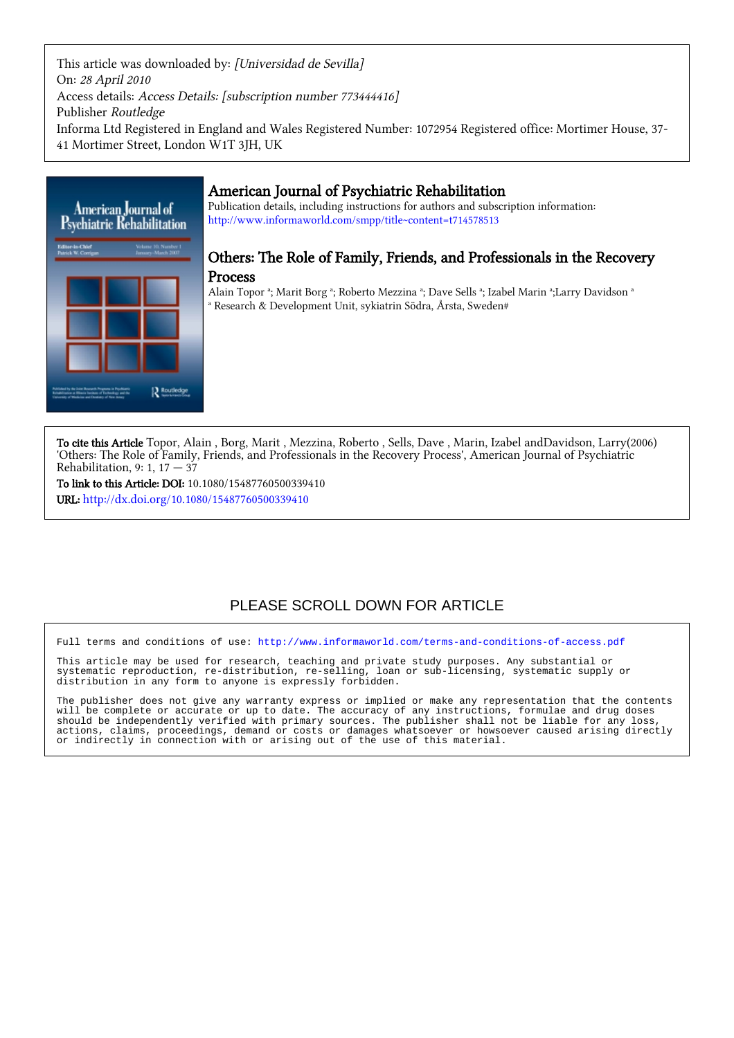This article was downloaded by: [Universidad de Sevilla] On: 28 April 2010 Access details: Access Details: [subscription number 773444416] Publisher Routledge Informa Ltd Registered in England and Wales Registered Number: 1072954 Registered office: Mortimer House, 37- 41 Mortimer Street, London W1T 3JH, UK



## American Journal of Psychiatric Rehabilitation

Publication details, including instructions for authors and subscription information: <http://www.informaworld.com/smpp/title~content=t714578513>

## Others: The Role of Family, Friends, and Professionals in the Recovery

Process

Alain Topor <sup>a</sup>; Marit Borg <sup>a</sup>; Roberto Mezzina <sup>a</sup>; Dave Sells <sup>a</sup>; Izabel Marin <sup>a</sup>;Larry Davidson <sup>a</sup> a Research & Development Unit, sykiatrin Södra, Årsta, Sweden#

To cite this Article Topor, Alain , Borg, Marit , Mezzina, Roberto , Sells, Dave , Marin, Izabel andDavidson, Larry(2006) 'Others: The Role of Family, Friends, and Professionals in the Recovery Process', American Journal of Psychiatric Rehabilitation, 9: 1,  $17 - 37$ 

To link to this Article: DOI: 10.1080/15487760500339410 URL: <http://dx.doi.org/10.1080/15487760500339410>

## PLEASE SCROLL DOWN FOR ARTICLE

Full terms and conditions of use:<http://www.informaworld.com/terms-and-conditions-of-access.pdf>

This article may be used for research, teaching and private study purposes. Any substantial or systematic reproduction, re-distribution, re-selling, loan or sub-licensing, systematic supply or distribution in any form to anyone is expressly forbidden.

The publisher does not give any warranty express or implied or make any representation that the contents will be complete or accurate or up to date. The accuracy of any instructions, formulae and drug doses should be independently verified with primary sources. The publisher shall not be liable for any loss, actions, claims, proceedings, demand or costs or damages whatsoever or howsoever caused arising directly or indirectly in connection with or arising out of the use of this material.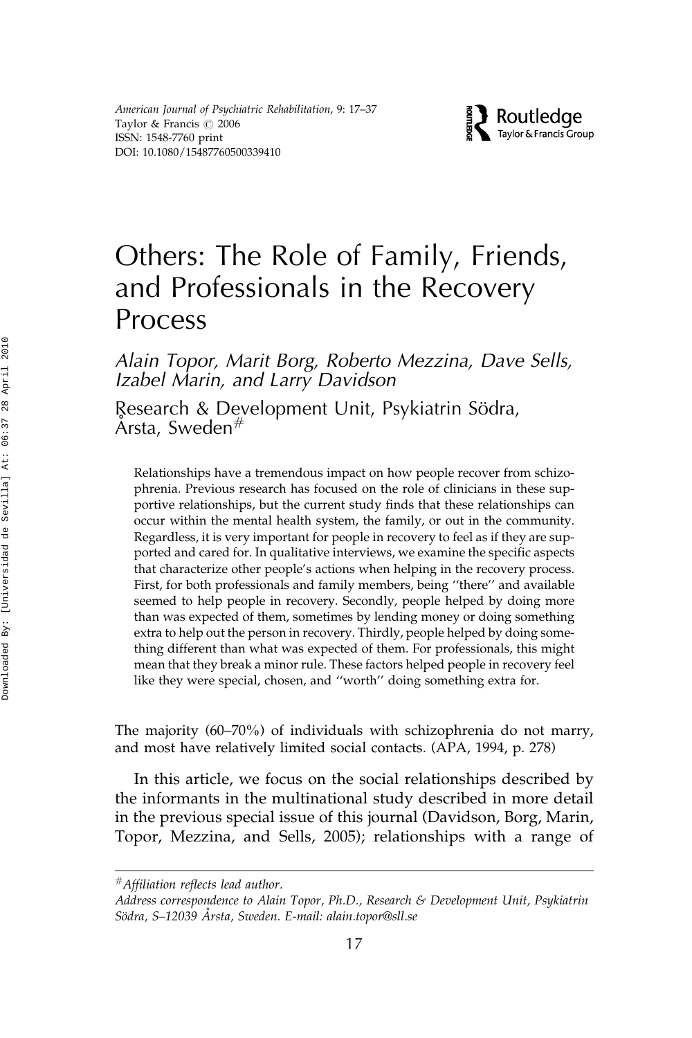

# Others: The Role of Family, Friends, and Professionals in the Recovery Process

Alain Topor, Marit Borg, Roberto Mezzina, Dave Sells, Izabel Marin, and Larry Davidson

Research & Development Unit, Psykiatrin Södra, Årsta, Sweden $#$ 

Relationships have a tremendous impact on how people recover from schizophrenia. Previous research has focused on the role of clinicians in these supportive relationships, but the current study finds that these relationships can occur within the mental health system, the family, or out in the community. Regardless, it is very important for people in recovery to feel as if they are supported and cared for. In qualitative interviews, we examine the specific aspects that characterize other people's actions when helping in the recovery process. First, for both professionals and family members, being ''there'' and available seemed to help people in recovery. Secondly, people helped by doing more than was expected of them, sometimes by lending money or doing something extra to help out the person in recovery. Thirdly, people helped by doing something different than what was expected of them. For professionals, this might mean that they break a minor rule. These factors helped people in recovery feel like they were special, chosen, and ''worth'' doing something extra for.

The majority (60–70*%*) of individuals with schizophrenia do not marry, and most have relatively limited social contacts. (APA, 1994, p. 278)

In this article, we focus on the social relationships described by the informants in the multinational study described in more detail in the previous special issue of this journal (Davidson, Borg, Marin, Topor, Mezzina, and Sells, 2005); relationships with a range of

<sup>#</sup>Affiliation reflects lead author.

Address correspondence to Alain Topor, Ph.D., Research & Development Unit, Psykiatrin Södra, S–12039 Årsta, Sweden. E-mail: alain.topor@sll.se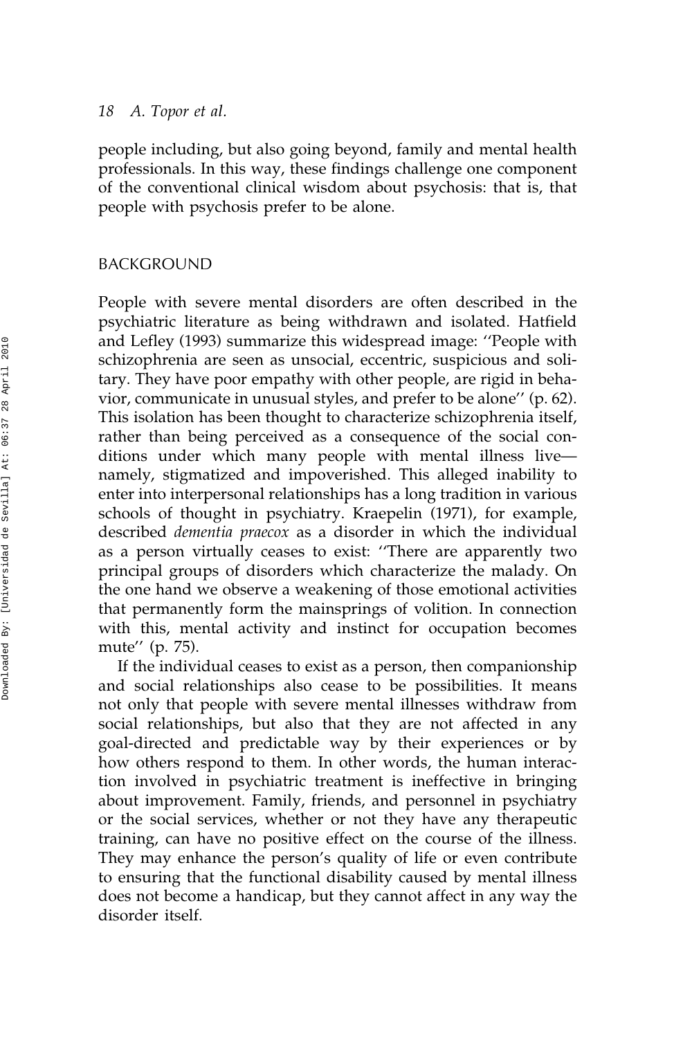people including, but also going beyond, family and mental health professionals. In this way, these findings challenge one component of the conventional clinical wisdom about psychosis: that is, that people with psychosis prefer to be alone.

#### BACKGROUND

People with severe mental disorders are often described in the psychiatric literature as being withdrawn and isolated. Hatfield and Lefley (1993) summarize this widespread image: ''People with schizophrenia are seen as unsocial, eccentric, suspicious and solitary. They have poor empathy with other people, are rigid in behavior, communicate in unusual styles, and prefer to be alone'' (p. 62). This isolation has been thought to characterize schizophrenia itself, rather than being perceived as a consequence of the social conditions under which many people with mental illness live namely, stigmatized and impoverished. This alleged inability to enter into interpersonal relationships has a long tradition in various schools of thought in psychiatry. Kraepelin (1971), for example, described dementia praecox as a disorder in which the individual as a person virtually ceases to exist: ''There are apparently two principal groups of disorders which characterize the malady. On the one hand we observe a weakening of those emotional activities that permanently form the mainsprings of volition. In connection with this, mental activity and instinct for occupation becomes mute'' (p. 75).

If the individual ceases to exist as a person, then companionship and social relationships also cease to be possibilities. It means not only that people with severe mental illnesses withdraw from social relationships, but also that they are not affected in any goal-directed and predictable way by their experiences or by how others respond to them. In other words, the human interaction involved in psychiatric treatment is ineffective in bringing about improvement. Family, friends, and personnel in psychiatry or the social services, whether or not they have any therapeutic training, can have no positive effect on the course of the illness. They may enhance the person's quality of life or even contribute to ensuring that the functional disability caused by mental illness does not become a handicap, but they cannot affect in any way the disorder itself.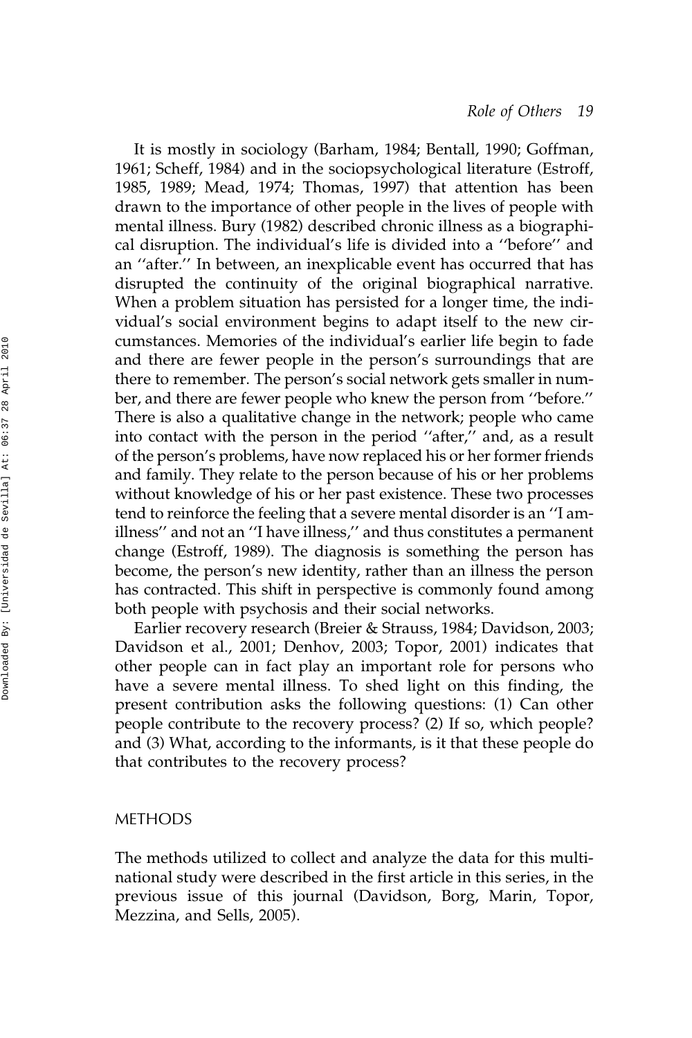It is mostly in sociology (Barham, 1984; Bentall, 1990; Goffman, 1961; Scheff, 1984) and in the sociopsychological literature (Estroff, 1985, 1989; Mead, 1974; Thomas, 1997) that attention has been drawn to the importance of other people in the lives of people with mental illness. Bury (1982) described chronic illness as a biographical disruption. The individual's life is divided into a ''before'' and an ''after.'' In between, an inexplicable event has occurred that has disrupted the continuity of the original biographical narrative. When a problem situation has persisted for a longer time, the individual's social environment begins to adapt itself to the new circumstances. Memories of the individual's earlier life begin to fade and there are fewer people in the person's surroundings that are there to remember. The person's social network gets smaller in number, and there are fewer people who knew the person from ''before.'' There is also a qualitative change in the network; people who came into contact with the person in the period ''after,'' and, as a result of the person's problems, have now replaced his or her former friends and family. They relate to the person because of his or her problems without knowledge of his or her past existence. These two processes tend to reinforce the feeling that a severe mental disorder is an ''I amillness'' and not an ''I have illness,'' and thus constitutes a permanent change (Estroff, 1989). The diagnosis is something the person has become, the person's new identity, rather than an illness the person has contracted. This shift in perspective is commonly found among both people with psychosis and their social networks.

Earlier recovery research (Breier & Strauss, 1984; Davidson, 2003; Davidson et al., 2001; Denhov, 2003; Topor, 2001) indicates that other people can in fact play an important role for persons who have a severe mental illness. To shed light on this finding, the present contribution asks the following questions: (1) Can other people contribute to the recovery process? (2) If so, which people? and (3) What, according to the informants, is it that these people do that contributes to the recovery process?

#### METHODS

The methods utilized to collect and analyze the data for this multinational study were described in the first article in this series, in the previous issue of this journal (Davidson, Borg, Marin, Topor, Mezzina, and Sells, 2005).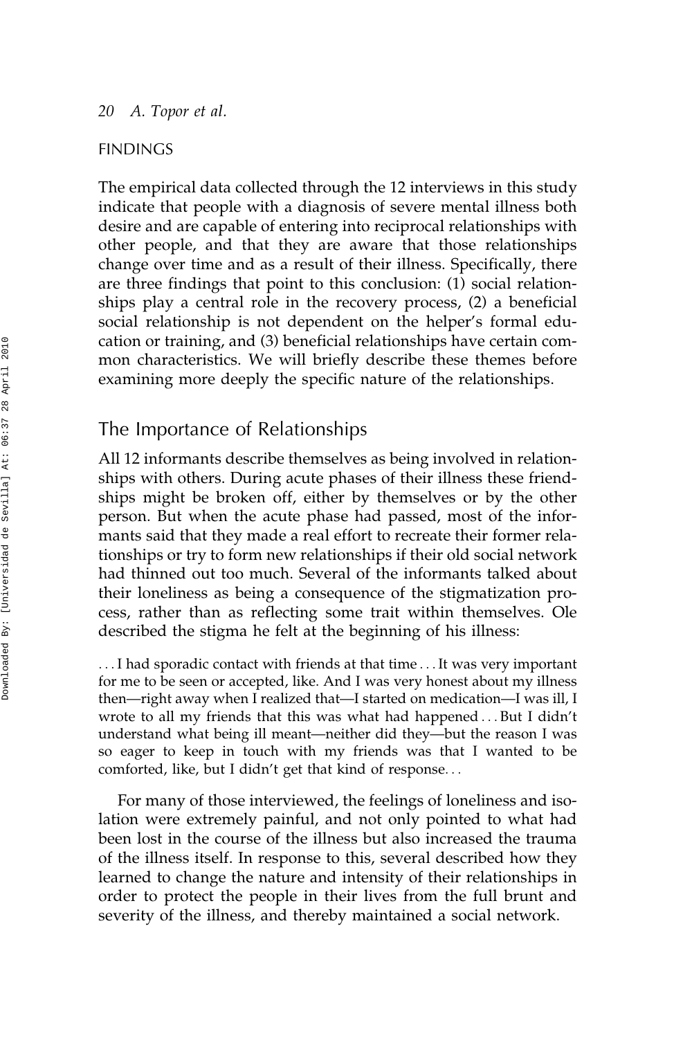#### FINDINGS

The empirical data collected through the 12 interviews in this study indicate that people with a diagnosis of severe mental illness both desire and are capable of entering into reciprocal relationships with other people, and that they are aware that those relationships change over time and as a result of their illness. Specifically, there are three findings that point to this conclusion: (1) social relationships play a central role in the recovery process, (2) a beneficial social relationship is not dependent on the helper's formal education or training, and (3) beneficial relationships have certain common characteristics. We will briefly describe these themes before examining more deeply the specific nature of the relationships.

## The Importance of Relationships

All 12 informants describe themselves as being involved in relationships with others. During acute phases of their illness these friendships might be broken off, either by themselves or by the other person. But when the acute phase had passed, most of the informants said that they made a real effort to recreate their former relationships or try to form new relationships if their old social network had thinned out too much. Several of the informants talked about their loneliness as being a consequence of the stigmatization process, rather than as reflecting some trait within themselves. Ole described the stigma he felt at the beginning of his illness:

...I had sporadic contact with friends at that time ...It was very important for me to be seen or accepted, like. And I was very honest about my illness then—right away when I realized that—I started on medication—I was ill, I wrote to all my friends that this was what had happened ... But I didn't understand what being ill meant—neither did they—but the reason I was so eager to keep in touch with my friends was that I wanted to be comforted, like, but I didn't get that kind of response...

For many of those interviewed, the feelings of loneliness and isolation were extremely painful, and not only pointed to what had been lost in the course of the illness but also increased the trauma of the illness itself. In response to this, several described how they learned to change the nature and intensity of their relationships in order to protect the people in their lives from the full brunt and severity of the illness, and thereby maintained a social network.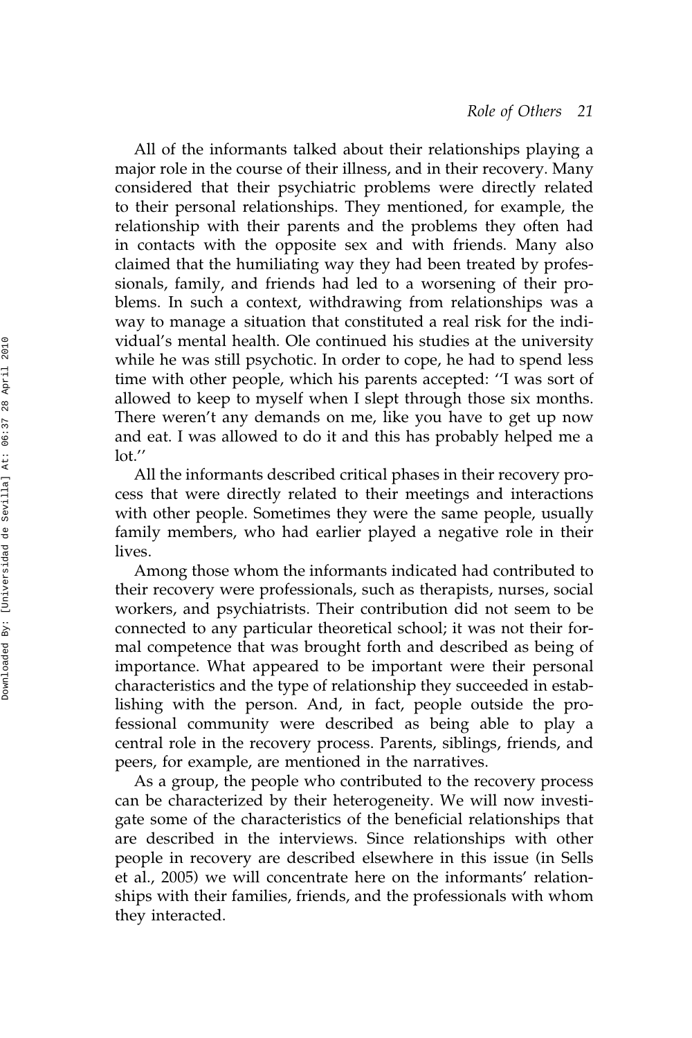All of the informants talked about their relationships playing a major role in the course of their illness, and in their recovery. Many considered that their psychiatric problems were directly related to their personal relationships. They mentioned, for example, the relationship with their parents and the problems they often had in contacts with the opposite sex and with friends. Many also claimed that the humiliating way they had been treated by professionals, family, and friends had led to a worsening of their problems. In such a context, withdrawing from relationships was a way to manage a situation that constituted a real risk for the individual's mental health. Ole continued his studies at the university while he was still psychotic. In order to cope, he had to spend less time with other people, which his parents accepted: ''I was sort of allowed to keep to myself when I slept through those six months. There weren't any demands on me, like you have to get up now and eat. I was allowed to do it and this has probably helped me a lot.''

All the informants described critical phases in their recovery process that were directly related to their meetings and interactions with other people. Sometimes they were the same people, usually family members, who had earlier played a negative role in their lives.

Among those whom the informants indicated had contributed to their recovery were professionals, such as therapists, nurses, social workers, and psychiatrists. Their contribution did not seem to be connected to any particular theoretical school; it was not their formal competence that was brought forth and described as being of importance. What appeared to be important were their personal characteristics and the type of relationship they succeeded in establishing with the person. And, in fact, people outside the professional community were described as being able to play a central role in the recovery process. Parents, siblings, friends, and peers, for example, are mentioned in the narratives.

As a group, the people who contributed to the recovery process can be characterized by their heterogeneity. We will now investigate some of the characteristics of the beneficial relationships that are described in the interviews. Since relationships with other people in recovery are described elsewhere in this issue (in Sells et al., 2005) we will concentrate here on the informants' relationships with their families, friends, and the professionals with whom they interacted.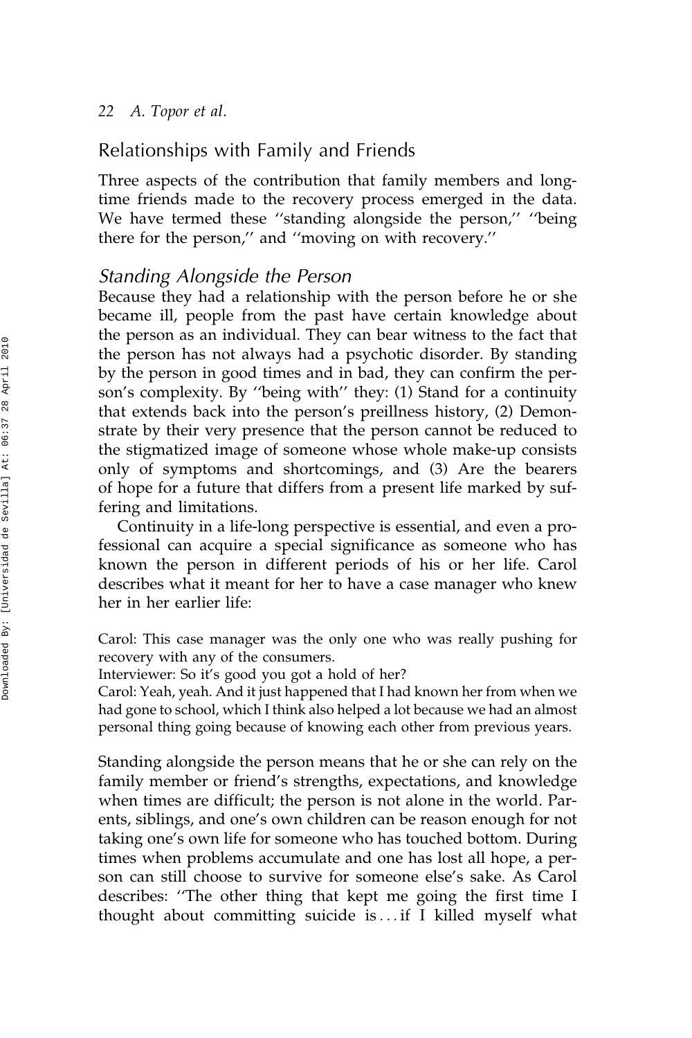## Relationships with Family and Friends

Three aspects of the contribution that family members and longtime friends made to the recovery process emerged in the data. We have termed these ''standing alongside the person,'' ''being there for the person,'' and ''moving on with recovery.''

## Standing Alongside the Person

Because they had a relationship with the person before he or she became ill, people from the past have certain knowledge about the person as an individual. They can bear witness to the fact that the person has not always had a psychotic disorder. By standing by the person in good times and in bad, they can confirm the person's complexity. By ''being with'' they: (1) Stand for a continuity that extends back into the person's preillness history, (2) Demonstrate by their very presence that the person cannot be reduced to the stigmatized image of someone whose whole make-up consists only of symptoms and shortcomings, and (3) Are the bearers of hope for a future that differs from a present life marked by suffering and limitations.

Continuity in a life-long perspective is essential, and even a professional can acquire a special significance as someone who has known the person in different periods of his or her life. Carol describes what it meant for her to have a case manager who knew her in her earlier life:

Carol: This case manager was the only one who was really pushing for recovery with any of the consumers.

Interviewer: So it's good you got a hold of her?

Carol: Yeah, yeah. And it just happened that I had known her from when we had gone to school, which I think also helped a lot because we had an almost personal thing going because of knowing each other from previous years.

Standing alongside the person means that he or she can rely on the family member or friend's strengths, expectations, and knowledge when times are difficult; the person is not alone in the world. Parents, siblings, and one's own children can be reason enough for not taking one's own life for someone who has touched bottom. During times when problems accumulate and one has lost all hope, a person can still choose to survive for someone else's sake. As Carol describes: ''The other thing that kept me going the first time I thought about committing suicide is ... if I killed myself what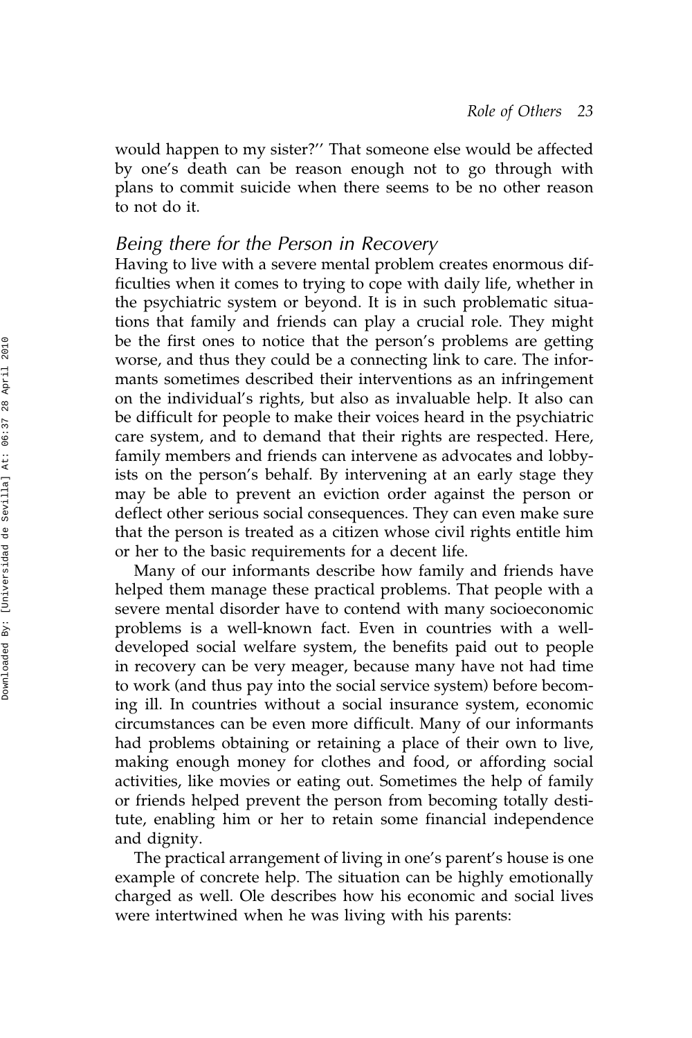would happen to my sister?'' That someone else would be affected by one's death can be reason enough not to go through with plans to commit suicide when there seems to be no other reason to not do it.

### Being there for the Person in Recovery

Having to live with a severe mental problem creates enormous difficulties when it comes to trying to cope with daily life, whether in the psychiatric system or beyond. It is in such problematic situations that family and friends can play a crucial role. They might be the first ones to notice that the person's problems are getting worse, and thus they could be a connecting link to care. The informants sometimes described their interventions as an infringement on the individual's rights, but also as invaluable help. It also can be difficult for people to make their voices heard in the psychiatric care system, and to demand that their rights are respected. Here, family members and friends can intervene as advocates and lobbyists on the person's behalf. By intervening at an early stage they may be able to prevent an eviction order against the person or deflect other serious social consequences. They can even make sure that the person is treated as a citizen whose civil rights entitle him or her to the basic requirements for a decent life.

Many of our informants describe how family and friends have helped them manage these practical problems. That people with a severe mental disorder have to contend with many socioeconomic problems is a well-known fact. Even in countries with a welldeveloped social welfare system, the benefits paid out to people in recovery can be very meager, because many have not had time to work (and thus pay into the social service system) before becoming ill. In countries without a social insurance system, economic circumstances can be even more difficult. Many of our informants had problems obtaining or retaining a place of their own to live, making enough money for clothes and food, or affording social activities, like movies or eating out. Sometimes the help of family or friends helped prevent the person from becoming totally destitute, enabling him or her to retain some financial independence and dignity.

The practical arrangement of living in one's parent's house is one example of concrete help. The situation can be highly emotionally charged as well. Ole describes how his economic and social lives were intertwined when he was living with his parents: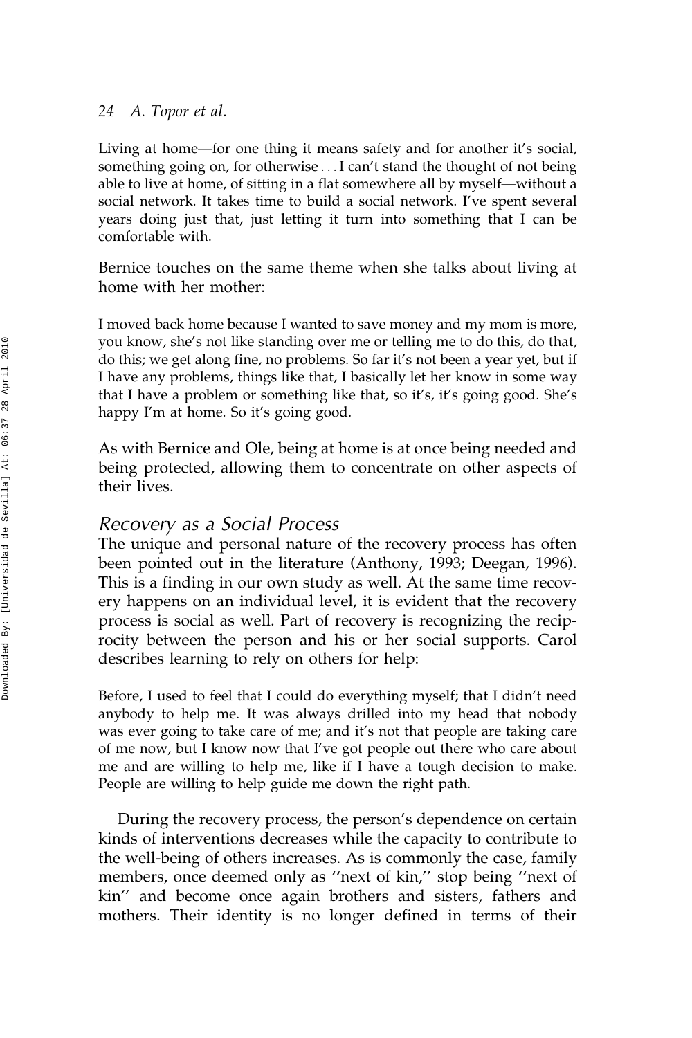Living at home—for one thing it means safety and for another it's social, something going on, for otherwise ...I can't stand the thought of not being able to live at home, of sitting in a flat somewhere all by myself—without a social network. It takes time to build a social network. I've spent several years doing just that, just letting it turn into something that I can be comfortable with.

Bernice touches on the same theme when she talks about living at home with her mother:

I moved back home because I wanted to save money and my mom is more, you know, she's not like standing over me or telling me to do this, do that, do this; we get along fine, no problems. So far it's not been a year yet, but if I have any problems, things like that, I basically let her know in some way that I have a problem or something like that, so it's, it's going good. She's happy I'm at home. So it's going good.

As with Bernice and Ole, being at home is at once being needed and being protected, allowing them to concentrate on other aspects of their lives.

#### Recovery as a Social Process

The unique and personal nature of the recovery process has often been pointed out in the literature (Anthony, 1993; Deegan, 1996). This is a finding in our own study as well. At the same time recovery happens on an individual level, it is evident that the recovery process is social as well. Part of recovery is recognizing the reciprocity between the person and his or her social supports. Carol describes learning to rely on others for help:

Before, I used to feel that I could do everything myself; that I didn't need anybody to help me. It was always drilled into my head that nobody was ever going to take care of me; and it's not that people are taking care of me now, but I know now that I've got people out there who care about me and are willing to help me, like if I have a tough decision to make. People are willing to help guide me down the right path.

During the recovery process, the person's dependence on certain kinds of interventions decreases while the capacity to contribute to the well-being of others increases. As is commonly the case, family members, once deemed only as ''next of kin,'' stop being ''next of kin'' and become once again brothers and sisters, fathers and mothers. Their identity is no longer defined in terms of their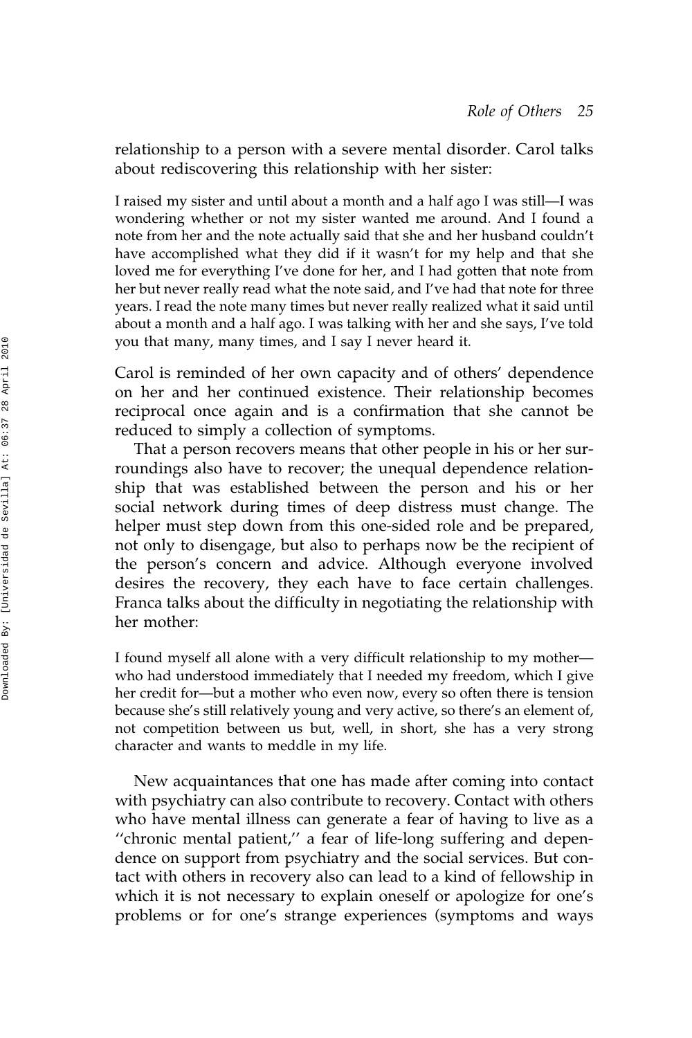relationship to a person with a severe mental disorder. Carol talks about rediscovering this relationship with her sister:

I raised my sister and until about a month and a half ago I was still—I was wondering whether or not my sister wanted me around. And I found a note from her and the note actually said that she and her husband couldn't have accomplished what they did if it wasn't for my help and that she loved me for everything I've done for her, and I had gotten that note from her but never really read what the note said, and I've had that note for three years. I read the note many times but never really realized what it said until about a month and a half ago. I was talking with her and she says, I've told you that many, many times, and I say I never heard it.

Carol is reminded of her own capacity and of others' dependence on her and her continued existence. Their relationship becomes reciprocal once again and is a confirmation that she cannot be reduced to simply a collection of symptoms.

That a person recovers means that other people in his or her surroundings also have to recover; the unequal dependence relationship that was established between the person and his or her social network during times of deep distress must change. The helper must step down from this one-sided role and be prepared, not only to disengage, but also to perhaps now be the recipient of the person's concern and advice. Although everyone involved desires the recovery, they each have to face certain challenges. Franca talks about the difficulty in negotiating the relationship with her mother:

I found myself all alone with a very difficult relationship to my mother who had understood immediately that I needed my freedom, which I give her credit for—but a mother who even now, every so often there is tension because she's still relatively young and very active, so there's an element of, not competition between us but, well, in short, she has a very strong character and wants to meddle in my life.

New acquaintances that one has made after coming into contact with psychiatry can also contribute to recovery. Contact with others who have mental illness can generate a fear of having to live as a ''chronic mental patient,'' a fear of life-long suffering and dependence on support from psychiatry and the social services. But contact with others in recovery also can lead to a kind of fellowship in which it is not necessary to explain oneself or apologize for one's problems or for one's strange experiences (symptoms and ways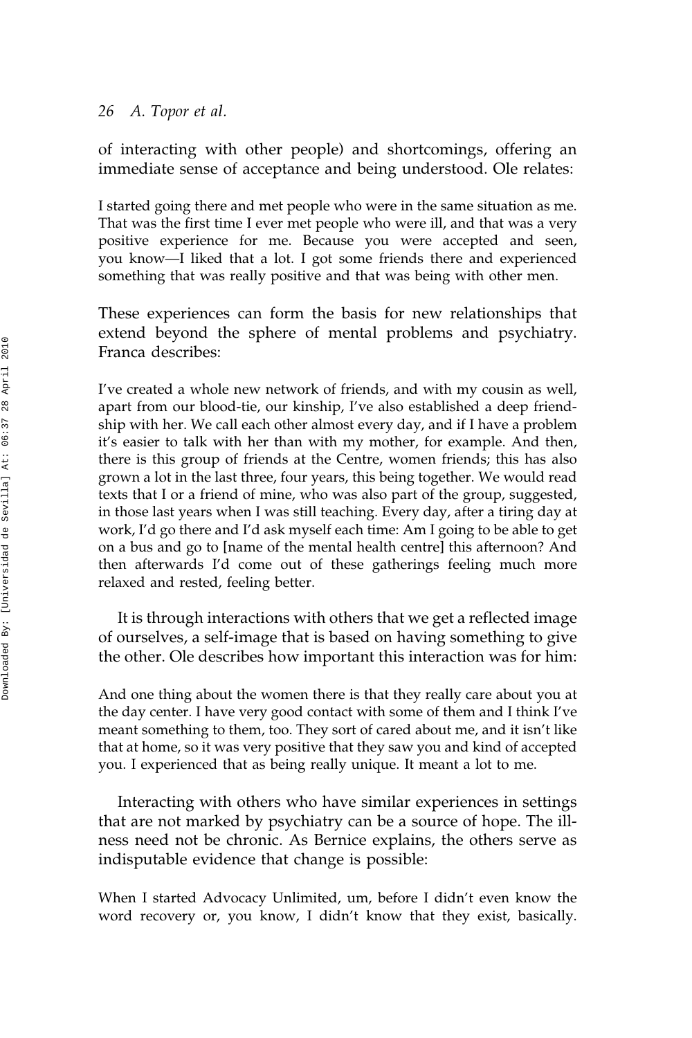of interacting with other people) and shortcomings, offering an immediate sense of acceptance and being understood. Ole relates:

I started going there and met people who were in the same situation as me. That was the first time I ever met people who were ill, and that was a very positive experience for me. Because you were accepted and seen, you know—I liked that a lot. I got some friends there and experienced something that was really positive and that was being with other men.

These experiences can form the basis for new relationships that extend beyond the sphere of mental problems and psychiatry. Franca describes:

I've created a whole new network of friends, and with my cousin as well, apart from our blood-tie, our kinship, I've also established a deep friendship with her. We call each other almost every day, and if I have a problem it's easier to talk with her than with my mother, for example. And then, there is this group of friends at the Centre, women friends; this has also grown a lot in the last three, four years, this being together. We would read texts that I or a friend of mine, who was also part of the group, suggested, in those last years when I was still teaching. Every day, after a tiring day at work, I'd go there and I'd ask myself each time: Am I going to be able to get on a bus and go to [name of the mental health centre] this afternoon? And then afterwards I'd come out of these gatherings feeling much more relaxed and rested, feeling better.

It is through interactions with others that we get a reflected image of ourselves, a self-image that is based on having something to give the other. Ole describes how important this interaction was for him:

And one thing about the women there is that they really care about you at the day center. I have very good contact with some of them and I think I've meant something to them, too. They sort of cared about me, and it isn't like that at home, so it was very positive that they saw you and kind of accepted you. I experienced that as being really unique. It meant a lot to me.

Interacting with others who have similar experiences in settings that are not marked by psychiatry can be a source of hope. The illness need not be chronic. As Bernice explains, the others serve as indisputable evidence that change is possible:

When I started Advocacy Unlimited, um, before I didn't even know the word recovery or, you know, I didn't know that they exist, basically.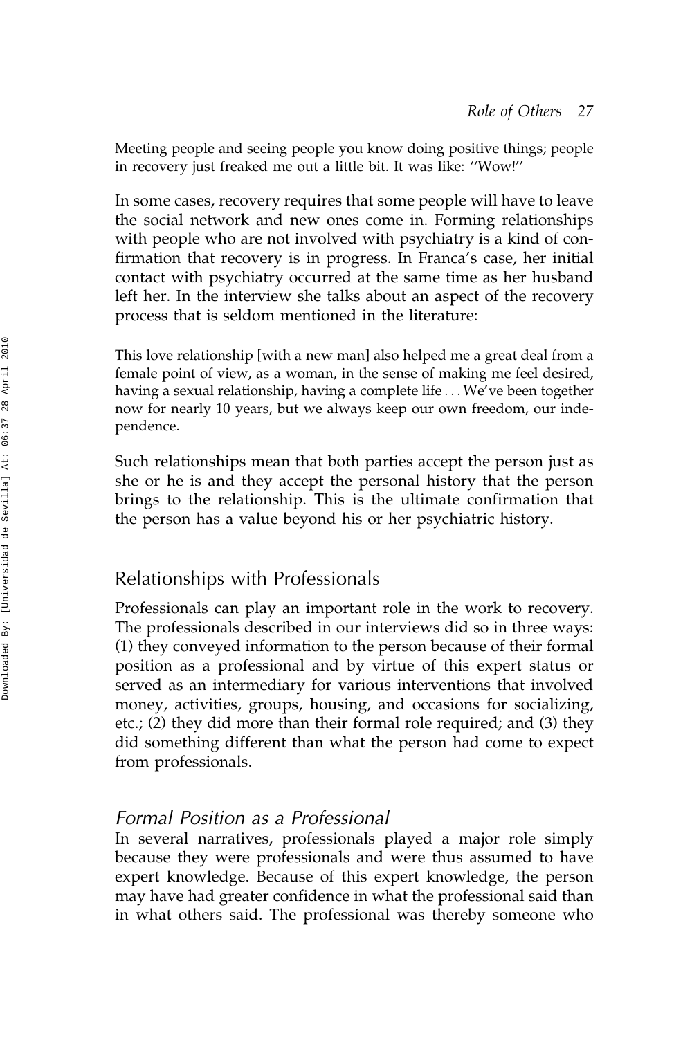Meeting people and seeing people you know doing positive things; people in recovery just freaked me out a little bit. It was like: ''Wow!''

In some cases, recovery requires that some people will have to leave the social network and new ones come in. Forming relationships with people who are not involved with psychiatry is a kind of confirmation that recovery is in progress. In Franca's case, her initial contact with psychiatry occurred at the same time as her husband left her. In the interview she talks about an aspect of the recovery process that is seldom mentioned in the literature:

This love relationship [with a new man] also helped me a great deal from a female point of view, as a woman, in the sense of making me feel desired, having a sexual relationship, having a complete life ... We've been together now for nearly 10 years, but we always keep our own freedom, our independence.

Such relationships mean that both parties accept the person just as she or he is and they accept the personal history that the person brings to the relationship. This is the ultimate confirmation that the person has a value beyond his or her psychiatric history.

## Relationships with Professionals

Professionals can play an important role in the work to recovery. The professionals described in our interviews did so in three ways: (1) they conveyed information to the person because of their formal position as a professional and by virtue of this expert status or served as an intermediary for various interventions that involved money, activities, groups, housing, and occasions for socializing, etc.; (2) they did more than their formal role required; and (3) they did something different than what the person had come to expect from professionals.

## Formal Position as a Professional

In several narratives, professionals played a major role simply because they were professionals and were thus assumed to have expert knowledge. Because of this expert knowledge, the person may have had greater confidence in what the professional said than in what others said. The professional was thereby someone who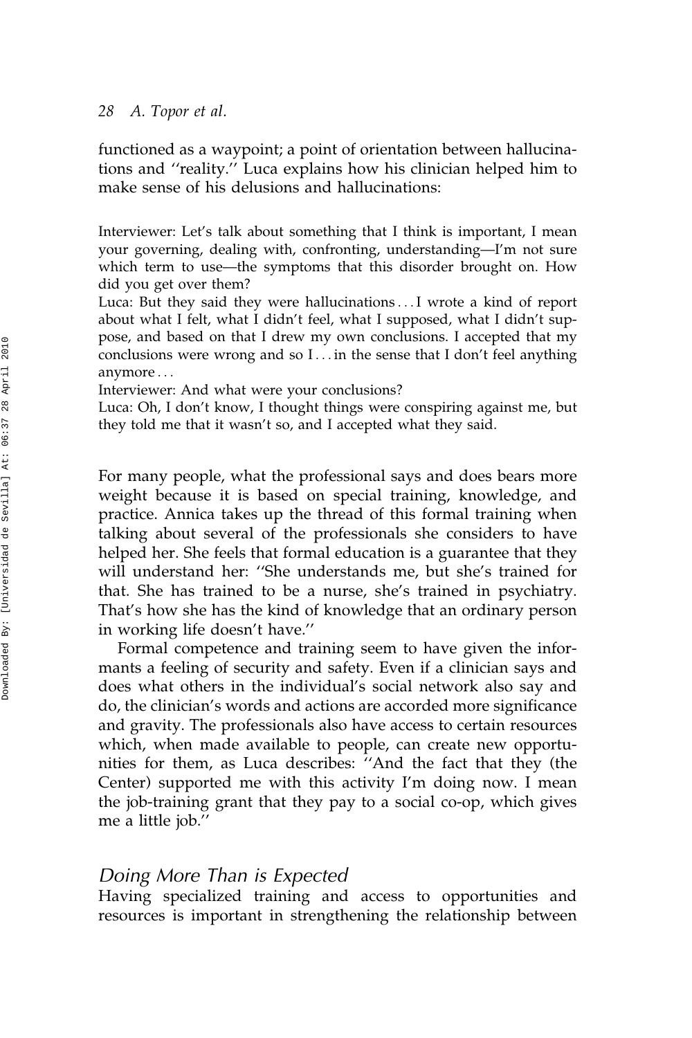functioned as a waypoint; a point of orientation between hallucinations and ''reality.'' Luca explains how his clinician helped him to make sense of his delusions and hallucinations:

Interviewer: Let's talk about something that I think is important, I mean your governing, dealing with, confronting, understanding—I'm not sure which term to use—the symptoms that this disorder brought on. How did you get over them?

Luca: But they said they were hallucinations ...I wrote a kind of report about what I felt, what I didn't feel, what I supposed, what I didn't suppose, and based on that I drew my own conclusions. I accepted that my conclusions were wrong and so I ... in the sense that I don't feel anything anymore ...

Interviewer: And what were your conclusions?

Luca: Oh, I don't know, I thought things were conspiring against me, but they told me that it wasn't so, and I accepted what they said.

For many people, what the professional says and does bears more weight because it is based on special training, knowledge, and practice. Annica takes up the thread of this formal training when talking about several of the professionals she considers to have helped her. She feels that formal education is a guarantee that they will understand her: ''She understands me, but she's trained for that. She has trained to be a nurse, she's trained in psychiatry. That's how she has the kind of knowledge that an ordinary person in working life doesn't have.''

Formal competence and training seem to have given the informants a feeling of security and safety. Even if a clinician says and does what others in the individual's social network also say and do, the clinician's words and actions are accorded more significance and gravity. The professionals also have access to certain resources which, when made available to people, can create new opportunities for them, as Luca describes: ''And the fact that they (the Center) supported me with this activity I'm doing now. I mean the job-training grant that they pay to a social co-op, which gives me a little job.''

#### Doing More Than is Expected

Having specialized training and access to opportunities and resources is important in strengthening the relationship between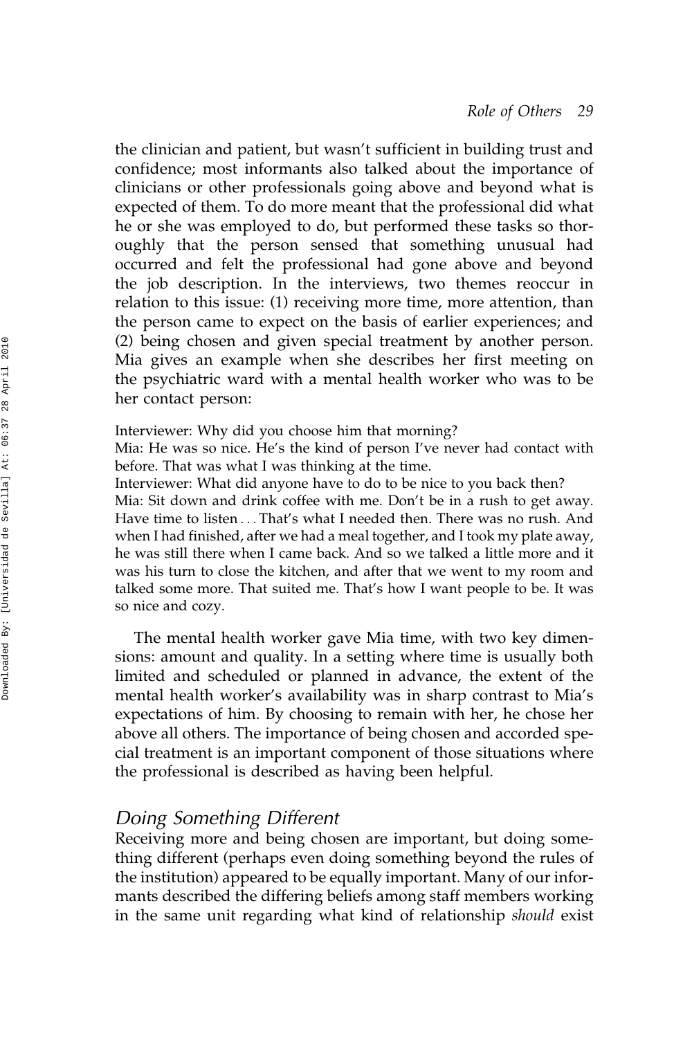the clinician and patient, but wasn't sufficient in building trust and confidence; most informants also talked about the importance of clinicians or other professionals going above and beyond what is expected of them. To do more meant that the professional did what he or she was employed to do, but performed these tasks so thoroughly that the person sensed that something unusual had occurred and felt the professional had gone above and beyond the job description. In the interviews, two themes reoccur in relation to this issue: (1) receiving more time, more attention, than the person came to expect on the basis of earlier experiences; and (2) being chosen and given special treatment by another person. Mia gives an example when she describes her first meeting on the psychiatric ward with a mental health worker who was to be her contact person:

Interviewer: Why did you choose him that morning?

Mia: He was so nice. He's the kind of person I've never had contact with before. That was what I was thinking at the time.

Interviewer: What did anyone have to do to be nice to you back then?

Mia: Sit down and drink coffee with me. Don't be in a rush to get away. Have time to listen ... That's what I needed then. There was no rush. And when I had finished, after we had a meal together, and I took my plate away, he was still there when I came back. And so we talked a little more and it was his turn to close the kitchen, and after that we went to my room and talked some more. That suited me. That's how I want people to be. It was so nice and cozy.

The mental health worker gave Mia time, with two key dimensions: amount and quality. In a setting where time is usually both limited and scheduled or planned in advance, the extent of the mental health worker's availability was in sharp contrast to Mia's expectations of him. By choosing to remain with her, he chose her above all others. The importance of being chosen and accorded special treatment is an important component of those situations where the professional is described as having been helpful.

## Doing Something Different

Receiving more and being chosen are important, but doing something different (perhaps even doing something beyond the rules of the institution) appeared to be equally important. Many of our informants described the differing beliefs among staff members working in the same unit regarding what kind of relationship should exist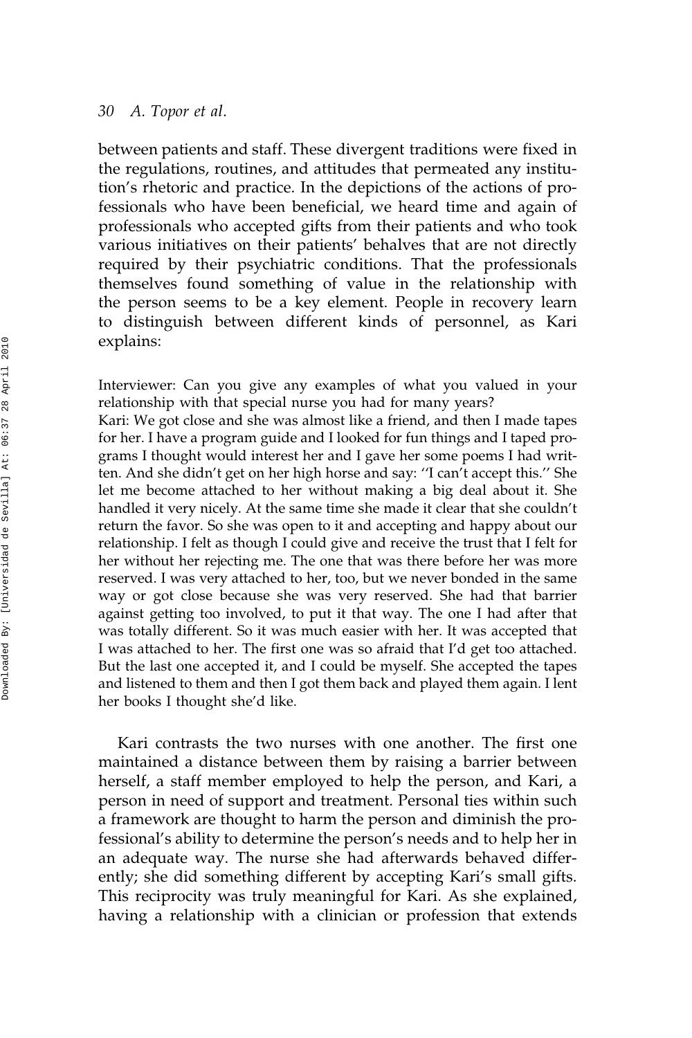between patients and staff. These divergent traditions were fixed in the regulations, routines, and attitudes that permeated any institution's rhetoric and practice. In the depictions of the actions of professionals who have been beneficial, we heard time and again of professionals who accepted gifts from their patients and who took various initiatives on their patients' behalves that are not directly required by their psychiatric conditions. That the professionals themselves found something of value in the relationship with the person seems to be a key element. People in recovery learn to distinguish between different kinds of personnel, as Kari explains:

Interviewer: Can you give any examples of what you valued in your relationship with that special nurse you had for many years?

Kari: We got close and she was almost like a friend, and then I made tapes for her. I have a program guide and I looked for fun things and I taped programs I thought would interest her and I gave her some poems I had written. And she didn't get on her high horse and say: ''I can't accept this.'' She let me become attached to her without making a big deal about it. She handled it very nicely. At the same time she made it clear that she couldn't return the favor. So she was open to it and accepting and happy about our relationship. I felt as though I could give and receive the trust that I felt for her without her rejecting me. The one that was there before her was more reserved. I was very attached to her, too, but we never bonded in the same way or got close because she was very reserved. She had that barrier against getting too involved, to put it that way. The one I had after that was totally different. So it was much easier with her. It was accepted that I was attached to her. The first one was so afraid that I'd get too attached. But the last one accepted it, and I could be myself. She accepted the tapes and listened to them and then I got them back and played them again. I lent her books I thought she'd like.

Kari contrasts the two nurses with one another. The first one maintained a distance between them by raising a barrier between herself, a staff member employed to help the person, and Kari, a person in need of support and treatment. Personal ties within such a framework are thought to harm the person and diminish the professional's ability to determine the person's needs and to help her in an adequate way. The nurse she had afterwards behaved differently; she did something different by accepting Kari's small gifts. This reciprocity was truly meaningful for Kari. As she explained, having a relationship with a clinician or profession that extends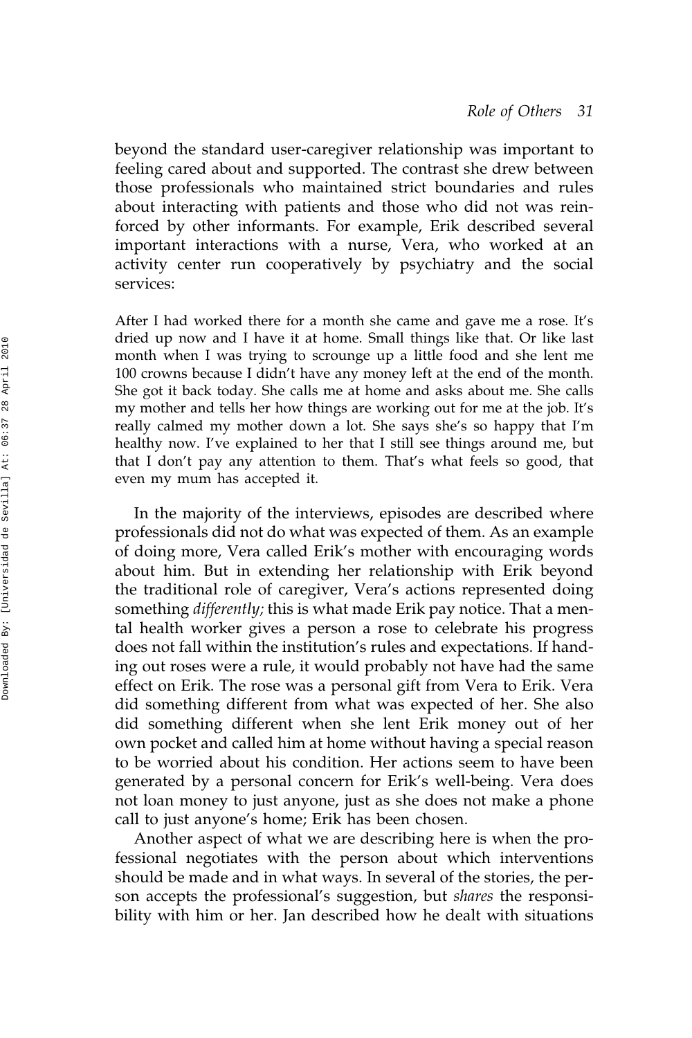beyond the standard user-caregiver relationship was important to feeling cared about and supported. The contrast she drew between those professionals who maintained strict boundaries and rules about interacting with patients and those who did not was reinforced by other informants. For example, Erik described several important interactions with a nurse, Vera, who worked at an activity center run cooperatively by psychiatry and the social services:

After I had worked there for a month she came and gave me a rose. It's dried up now and I have it at home. Small things like that. Or like last month when I was trying to scrounge up a little food and she lent me 100 crowns because I didn't have any money left at the end of the month. She got it back today. She calls me at home and asks about me. She calls my mother and tells her how things are working out for me at the job. It's really calmed my mother down a lot. She says she's so happy that I'm healthy now. I've explained to her that I still see things around me, but that I don't pay any attention to them. That's what feels so good, that even my mum has accepted it.

In the majority of the interviews, episodes are described where professionals did not do what was expected of them. As an example of doing more, Vera called Erik's mother with encouraging words about him. But in extending her relationship with Erik beyond the traditional role of caregiver, Vera's actions represented doing something *differently;* this is what made Erik pay notice. That a mental health worker gives a person a rose to celebrate his progress does not fall within the institution's rules and expectations. If handing out roses were a rule, it would probably not have had the same effect on Erik. The rose was a personal gift from Vera to Erik. Vera did something different from what was expected of her. She also did something different when she lent Erik money out of her own pocket and called him at home without having a special reason to be worried about his condition. Her actions seem to have been generated by a personal concern for Erik's well-being. Vera does not loan money to just anyone, just as she does not make a phone call to just anyone's home; Erik has been chosen.

Another aspect of what we are describing here is when the professional negotiates with the person about which interventions should be made and in what ways. In several of the stories, the person accepts the professional's suggestion, but shares the responsibility with him or her. Jan described how he dealt with situations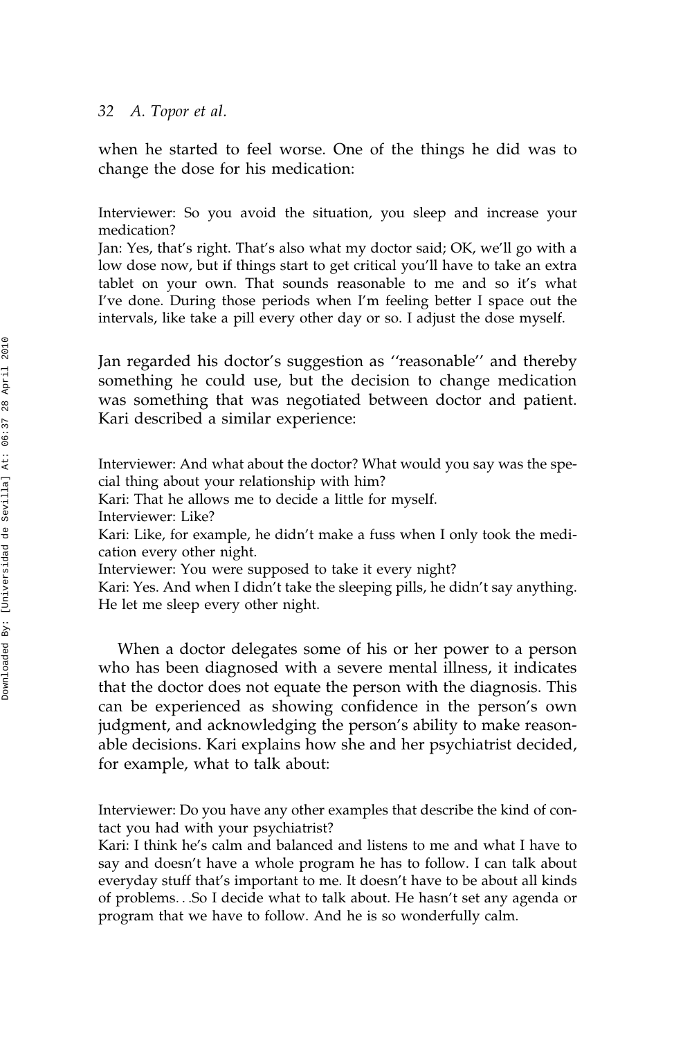when he started to feel worse. One of the things he did was to change the dose for his medication:

Interviewer: So you avoid the situation, you sleep and increase your medication?

Jan: Yes, that's right. That's also what my doctor said; OK, we'll go with a low dose now, but if things start to get critical you'll have to take an extra tablet on your own. That sounds reasonable to me and so it's what I've done. During those periods when I'm feeling better I space out the intervals, like take a pill every other day or so. I adjust the dose myself.

Jan regarded his doctor's suggestion as ''reasonable'' and thereby something he could use, but the decision to change medication was something that was negotiated between doctor and patient. Kari described a similar experience:

Interviewer: And what about the doctor? What would you say was the special thing about your relationship with him? Kari: That he allows me to decide a little for myself. Interviewer: Like? Kari: Like, for example, he didn't make a fuss when I only took the medication every other night. Interviewer: You were supposed to take it every night? Kari: Yes. And when I didn't take the sleeping pills, he didn't say anything. He let me sleep every other night.

When a doctor delegates some of his or her power to a person who has been diagnosed with a severe mental illness, it indicates that the doctor does not equate the person with the diagnosis. This can be experienced as showing confidence in the person's own judgment, and acknowledging the person's ability to make reasonable decisions. Kari explains how she and her psychiatrist decided, for example, what to talk about:

Interviewer: Do you have any other examples that describe the kind of contact you had with your psychiatrist?

Kari: I think he's calm and balanced and listens to me and what I have to say and doesn't have a whole program he has to follow. I can talk about everyday stuff that's important to me. It doesn't have to be about all kinds of problems...So I decide what to talk about. He hasn't set any agenda or program that we have to follow. And he is so wonderfully calm.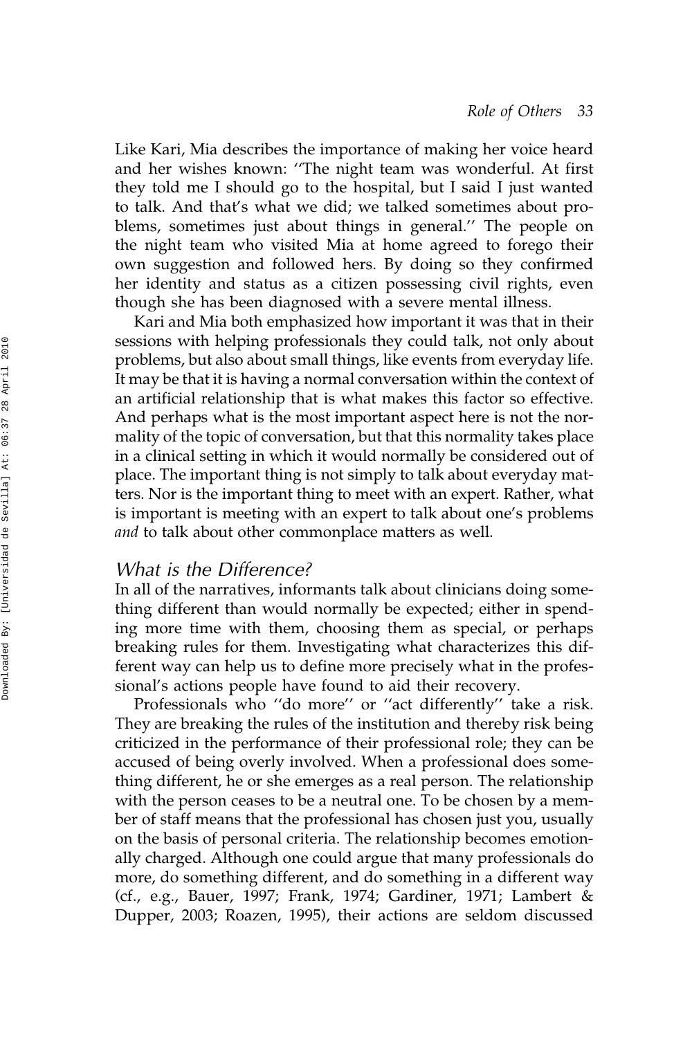Like Kari, Mia describes the importance of making her voice heard and her wishes known: ''The night team was wonderful. At first they told me I should go to the hospital, but I said I just wanted to talk. And that's what we did; we talked sometimes about problems, sometimes just about things in general.'' The people on the night team who visited Mia at home agreed to forego their own suggestion and followed hers. By doing so they confirmed her identity and status as a citizen possessing civil rights, even though she has been diagnosed with a severe mental illness.

Kari and Mia both emphasized how important it was that in their sessions with helping professionals they could talk, not only about problems, but also about small things, like events from everyday life. It may be that it is having a normal conversation within the context of an artificial relationship that is what makes this factor so effective. And perhaps what is the most important aspect here is not the normality of the topic of conversation, but that this normality takes place in a clinical setting in which it would normally be considered out of place. The important thing is not simply to talk about everyday matters. Nor is the important thing to meet with an expert. Rather, what is important is meeting with an expert to talk about one's problems and to talk about other commonplace matters as well.

## What is the Difference?

In all of the narratives, informants talk about clinicians doing something different than would normally be expected; either in spending more time with them, choosing them as special, or perhaps breaking rules for them. Investigating what characterizes this different way can help us to define more precisely what in the professional's actions people have found to aid their recovery.

Professionals who ''do more'' or ''act differently'' take a risk. They are breaking the rules of the institution and thereby risk being criticized in the performance of their professional role; they can be accused of being overly involved. When a professional does something different, he or she emerges as a real person. The relationship with the person ceases to be a neutral one. To be chosen by a member of staff means that the professional has chosen just you, usually on the basis of personal criteria. The relationship becomes emotionally charged. Although one could argue that many professionals do more, do something different, and do something in a different way (cf., e.g., Bauer, 1997; Frank, 1974; Gardiner, 1971; Lambert & Dupper, 2003; Roazen, 1995), their actions are seldom discussed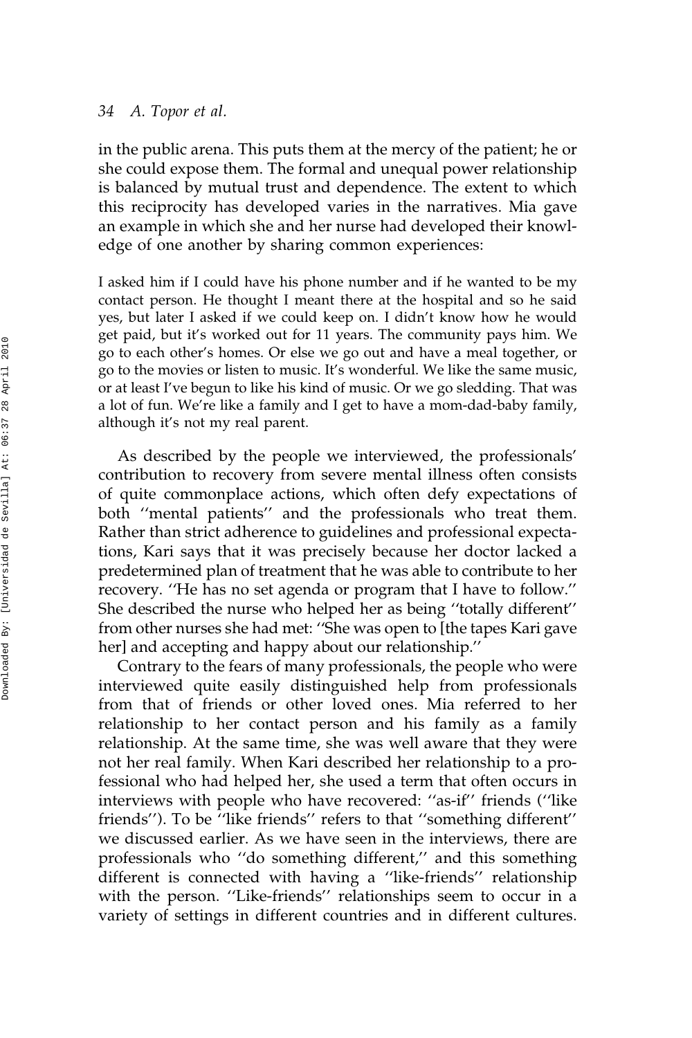in the public arena. This puts them at the mercy of the patient; he or she could expose them. The formal and unequal power relationship is balanced by mutual trust and dependence. The extent to which this reciprocity has developed varies in the narratives. Mia gave an example in which she and her nurse had developed their knowledge of one another by sharing common experiences:

I asked him if I could have his phone number and if he wanted to be my contact person. He thought I meant there at the hospital and so he said yes, but later I asked if we could keep on. I didn't know how he would get paid, but it's worked out for 11 years. The community pays him. We go to each other's homes. Or else we go out and have a meal together, or go to the movies or listen to music. It's wonderful. We like the same music, or at least I've begun to like his kind of music. Or we go sledding. That was a lot of fun. We're like a family and I get to have a mom-dad-baby family, although it's not my real parent.

As described by the people we interviewed, the professionals' contribution to recovery from severe mental illness often consists of quite commonplace actions, which often defy expectations of both ''mental patients'' and the professionals who treat them. Rather than strict adherence to guidelines and professional expectations, Kari says that it was precisely because her doctor lacked a predetermined plan of treatment that he was able to contribute to her recovery. ''He has no set agenda or program that I have to follow.'' She described the nurse who helped her as being ''totally different'' from other nurses she had met: ''She was open to [the tapes Kari gave her] and accepting and happy about our relationship.''

Contrary to the fears of many professionals, the people who were interviewed quite easily distinguished help from professionals from that of friends or other loved ones. Mia referred to her relationship to her contact person and his family as a family relationship. At the same time, she was well aware that they were not her real family. When Kari described her relationship to a professional who had helped her, she used a term that often occurs in interviews with people who have recovered: ''as-if'' friends (''like friends''). To be ''like friends'' refers to that ''something different'' we discussed earlier. As we have seen in the interviews, there are professionals who ''do something different,'' and this something different is connected with having a ''like-friends'' relationship with the person. ''Like-friends'' relationships seem to occur in a variety of settings in different countries and in different cultures.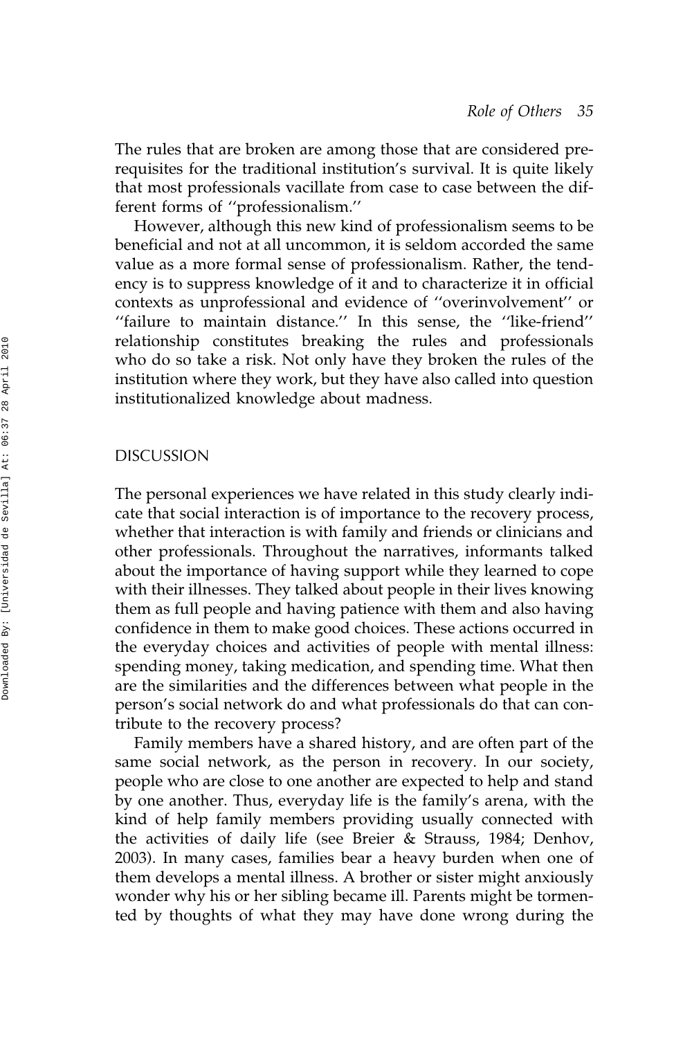The rules that are broken are among those that are considered prerequisites for the traditional institution's survival. It is quite likely that most professionals vacillate from case to case between the different forms of ''professionalism.''

However, although this new kind of professionalism seems to be beneficial and not at all uncommon, it is seldom accorded the same value as a more formal sense of professionalism. Rather, the tendency is to suppress knowledge of it and to characterize it in official contexts as unprofessional and evidence of ''overinvolvement'' or ''failure to maintain distance.'' In this sense, the ''like-friend'' relationship constitutes breaking the rules and professionals who do so take a risk. Not only have they broken the rules of the institution where they work, but they have also called into question institutionalized knowledge about madness.

#### DISCUSSION

The personal experiences we have related in this study clearly indicate that social interaction is of importance to the recovery process, whether that interaction is with family and friends or clinicians and other professionals. Throughout the narratives, informants talked about the importance of having support while they learned to cope with their illnesses. They talked about people in their lives knowing them as full people and having patience with them and also having confidence in them to make good choices. These actions occurred in the everyday choices and activities of people with mental illness: spending money, taking medication, and spending time. What then are the similarities and the differences between what people in the person's social network do and what professionals do that can contribute to the recovery process?

Family members have a shared history, and are often part of the same social network, as the person in recovery. In our society, people who are close to one another are expected to help and stand by one another. Thus, everyday life is the family's arena, with the kind of help family members providing usually connected with the activities of daily life (see Breier & Strauss, 1984; Denhov, 2003). In many cases, families bear a heavy burden when one of them develops a mental illness. A brother or sister might anxiously wonder why his or her sibling became ill. Parents might be tormented by thoughts of what they may have done wrong during the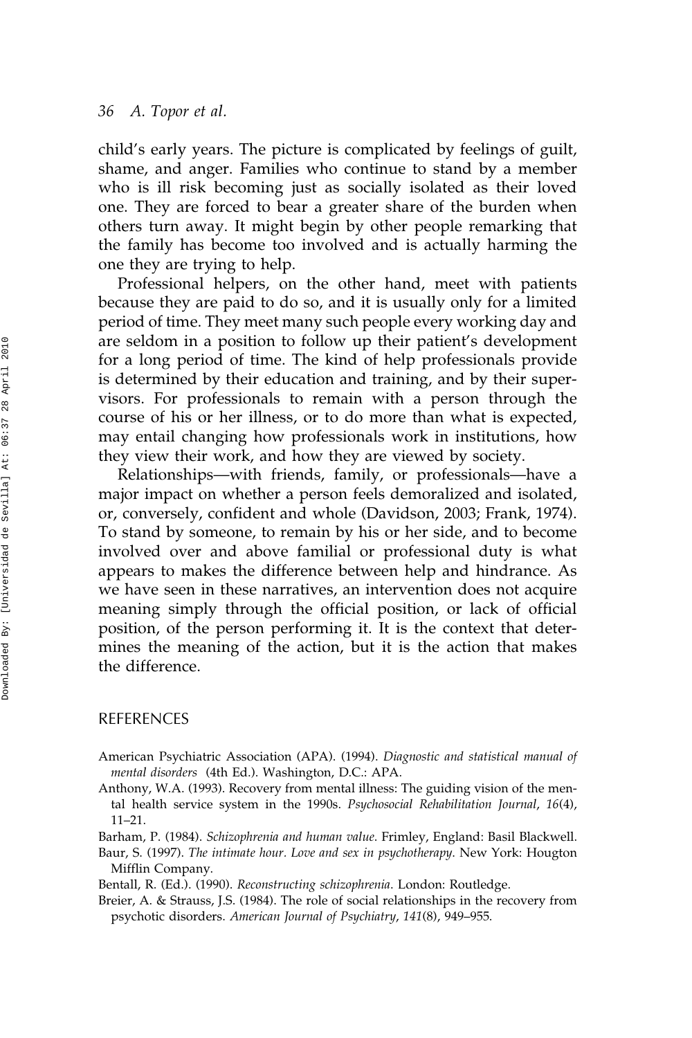child's early years. The picture is complicated by feelings of guilt, shame, and anger. Families who continue to stand by a member who is ill risk becoming just as socially isolated as their loved one. They are forced to bear a greater share of the burden when others turn away. It might begin by other people remarking that the family has become too involved and is actually harming the one they are trying to help.

Professional helpers, on the other hand, meet with patients because they are paid to do so, and it is usually only for a limited period of time. They meet many such people every working day and are seldom in a position to follow up their patient's development for a long period of time. The kind of help professionals provide is determined by their education and training, and by their supervisors. For professionals to remain with a person through the course of his or her illness, or to do more than what is expected, may entail changing how professionals work in institutions, how they view their work, and how they are viewed by society.

Relationships—with friends, family, or professionals—have a major impact on whether a person feels demoralized and isolated, or, conversely, confident and whole (Davidson, 2003; Frank, 1974). To stand by someone, to remain by his or her side, and to become involved over and above familial or professional duty is what appears to makes the difference between help and hindrance. As we have seen in these narratives, an intervention does not acquire meaning simply through the official position, or lack of official position, of the person performing it. It is the context that determines the meaning of the action, but it is the action that makes the difference.

#### REFERENCES

- American Psychiatric Association (APA). (1994). Diagnostic and statistical manual of mental disorders (4th Ed.). Washington, D.C.: APA.
- Anthony, W.A. (1993). Recovery from mental illness: The guiding vision of the mental health service system in the 1990s. Psychosocial Rehabilitation Journal, 16(4), 11–21.
- Barham, P. (1984). Schizophrenia and human value. Frimley, England: Basil Blackwell.
- Baur, S. (1997). The intimate hour. Love and sex in psychotherapy. New York: Hougton Mifflin Company.

Bentall, R. (Ed.). (1990). Reconstructing schizophrenia. London: Routledge.

Breier, A. & Strauss, J.S. (1984). The role of social relationships in the recovery from psychotic disorders. American Journal of Psychiatry, 141(8), 949–955.